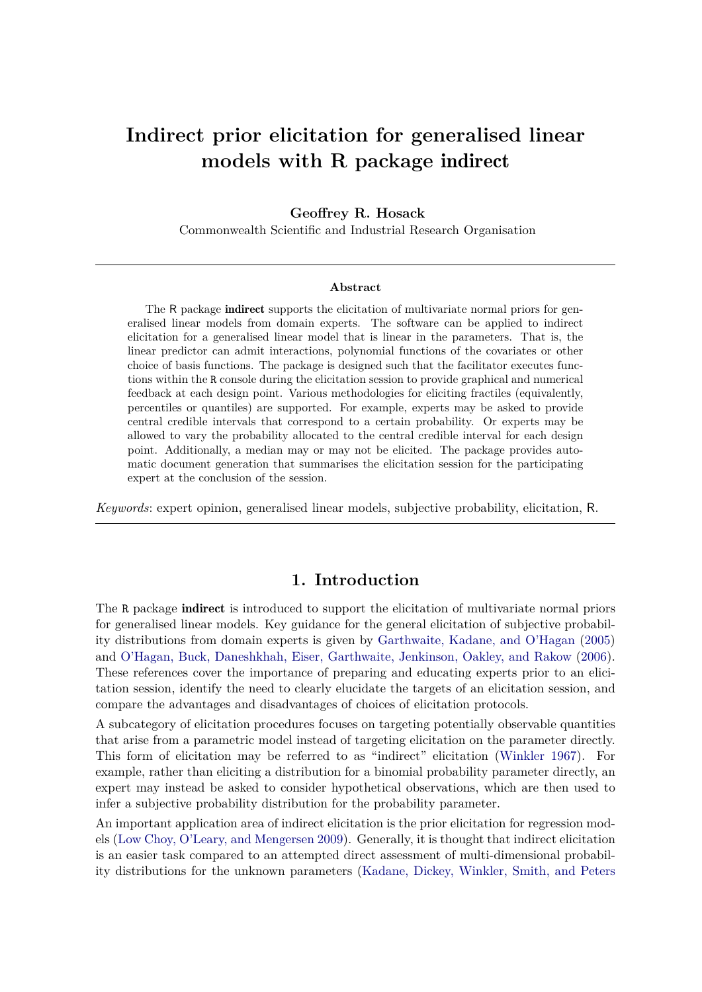# **Indirect prior elicitation for generalised linear models with R package** indirect

**Geoffrey R. Hosack**

Commonwealth Scientific and Industrial Research Organisation

### **Abstract**

The R package **indirect** supports the elicitation of multivariate normal priors for generalised linear models from domain experts. The software can be applied to indirect elicitation for a generalised linear model that is linear in the parameters. That is, the linear predictor can admit interactions, polynomial functions of the covariates or other choice of basis functions. The package is designed such that the facilitator executes functions within the R console during the elicitation session to provide graphical and numerical feedback at each design point. Various methodologies for eliciting fractiles (equivalently, percentiles or quantiles) are supported. For example, experts may be asked to provide central credible intervals that correspond to a certain probability. Or experts may be allowed to vary the probability allocated to the central credible interval for each design point. Additionally, a median may or may not be elicited. The package provides automatic document generation that summarises the elicitation session for the participating expert at the conclusion of the session.

*Keywords*: expert opinion, generalised linear models, subjective probability, elicitation, R.

# **1. Introduction**

The R package **indirect** is introduced to support the elicitation of multivariate normal priors for generalised linear models. Key guidance for the general elicitation of subjective probabil-ity distributions from domain experts is given by Garthwaite, Kadane, and O'Hagan [\(2005\)](#page-20-0) and O'Hagan, Buck, Daneshkhah, Eiser, Garthwaite, Jenkinson, Oakley, and Rakow [\(2006\)](#page-21-0). These references cover the importance of preparing and educating experts prior to an elicitation session, identify the need to clearly elucidate the targets of an elicitation session, and compare the advantages and disadvantages of choices of elicitation protocols.

A subcategory of elicitation procedures focuses on targeting potentially observable quantities that arise from a parametric model instead of targeting elicitation on the parameter directly. This form of elicitation may be referred to as "indirect" elicitation [\(Winkler 1967\)](#page-21-1). For example, rather than eliciting a distribution for a binomial probability parameter directly, an expert may instead be asked to consider hypothetical observations, which are then used to infer a subjective probability distribution for the probability parameter.

An important application area of indirect elicitation is the prior elicitation for regression models (Low Choy, O'Leary, and Mengersen 2009). Generally, it is thought that indirect elicitation is an easier task compared to an attempted direct assessment of multi-dimensional probability distributions for the unknown parameters [\(Kadane, Dickey, Winkler, Smith, and Peters](#page-20-1)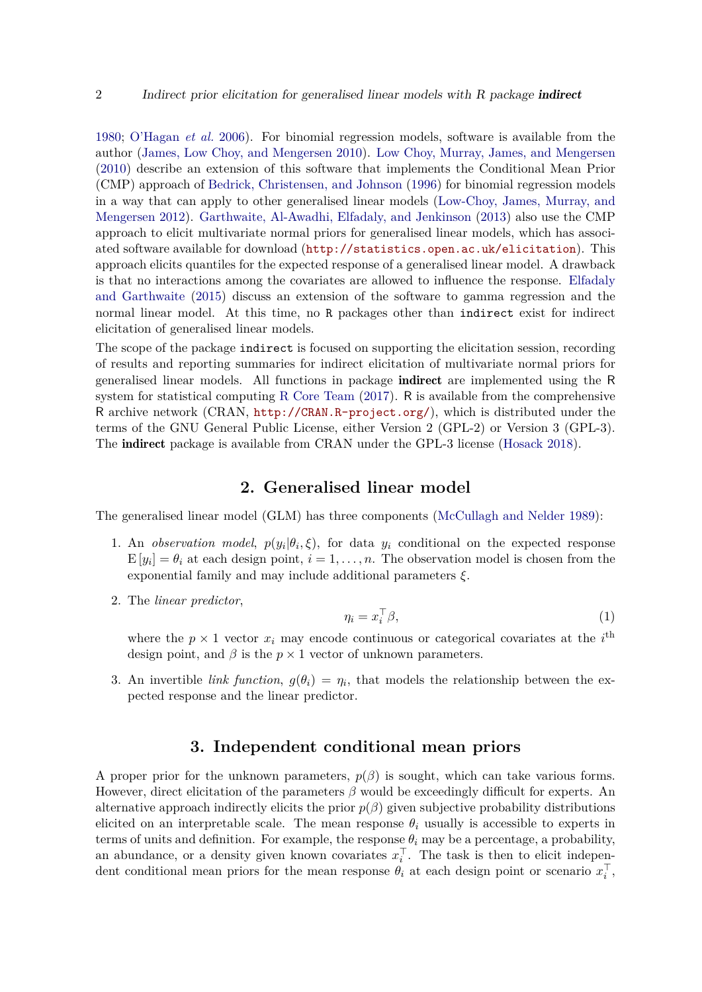[1980;](#page-20-1) [OŠHagan](#page-21-0) *et al.* [2006\)](#page-21-0). For binomial regression models, software is available from the author [\(James, Low Choy, and Mengersen 2010\)](#page-20-2). [Low Choy, Murray, James, and Mengersen](#page-21-3) [\(2010\)](#page-21-3) describe an extension of this software that implements the Conditional Mean Prior (CMP) approach of [Bedrick, Christensen, and Johnson](#page-20-3) [\(1996\)](#page-20-3) for binomial regression models in a way that can apply to other generalised linear models [\(Low-Choy, James, Murray, and](#page-20-4) [Mengersen 2012\)](#page-20-4). [Garthwaite, Al-Awadhi, Elfadaly, and Jenkinson](#page-20-5) [\(2013\)](#page-20-5) also use the CMP approach to elicit multivariate normal priors for generalised linear models, which has associated software available for download (<http://statistics.open.ac.uk/elicitation>). This approach elicits quantiles for the expected response of a generalised linear model. A drawback is that no interactions among the covariates are allowed to influence the response. [Elfadaly](#page-20-6) [and Garthwaite](#page-20-6) [\(2015\)](#page-20-6) discuss an extension of the software to gamma regression and the normal linear model. At this time, no R packages other than indirect exist for indirect elicitation of generalised linear models.

The scope of the package indirect is focused on supporting the elicitation session, recording of results and reporting summaries for indirect elicitation of multivariate normal priors for generalised linear models. All functions in package indirect are implemented using the R system for statistical computing [R Core Team](#page-21-4) [\(2017\)](#page-21-4). R is available from the comprehensive R archive network (CRAN, <http://CRAN.R-project.org/>), which is distributed under the terms of the GNU General Public License, either Version 2 (GPL-2) or Version 3 (GPL-3). The indirect package is available from CRAN under the GPL-3 license [\(Hosack 2018\)](#page-20-7).

# **2. Generalised linear model**

The generalised linear model (GLM) has three components [\(McCullagh and Nelder 1989\)](#page-21-5):

- 1. An *observation model*,  $p(y_i|\theta_i,\xi)$ , for data  $y_i$  conditional on the expected response  $E[y_i] = \theta_i$  at each design point,  $i = 1, \ldots, n$ . The observation model is chosen from the exponential family and may include additional parameters *ξ*.
- 2. The *linear predictor*,

$$
\eta_i = x_i^\top \beta,\tag{1}
$$

where the  $p \times 1$  vector  $x_i$  may encode continuous or categorical covariates at the  $i^{\text{th}}$ design point, and  $\beta$  is the  $p \times 1$  vector of unknown parameters.

3. An invertible *link function*,  $g(\theta_i) = \eta_i$ , that models the relationship between the expected response and the linear predictor.

# **3. Independent conditional mean priors**

A proper prior for the unknown parameters,  $p(\beta)$  is sought, which can take various forms. However, direct elicitation of the parameters *β* would be exceedingly difficult for experts. An alternative approach indirectly elicits the prior  $p(\beta)$  given subjective probability distributions elicited on an interpretable scale. The mean response  $\theta_i$  usually is accessible to experts in terms of units and definition. For example, the response  $\theta_i$  may be a percentage, a probability, an abundance, or a density given known covariates  $x_i^{\top}$  $i^{\dagger}$ . The task is then to elicit independent conditional mean priors for the mean response  $\dot{\theta_i}$  at each design point or scenario  $x_i^{\top}$ *i* ,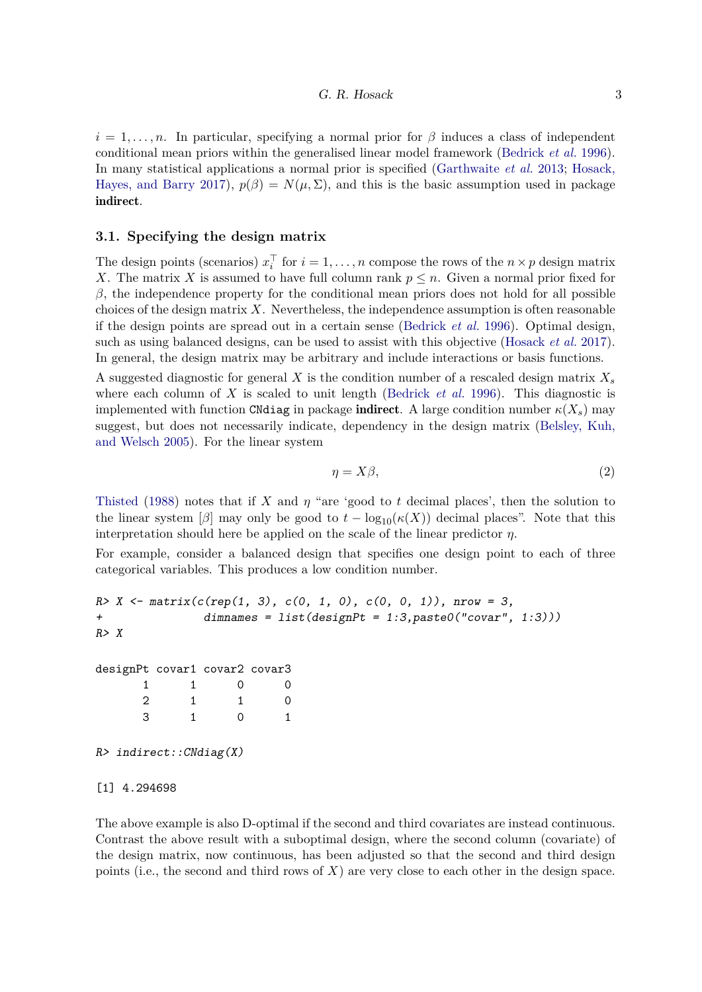$i = 1, \ldots, n$ . In particular, specifying a normal prior for *β* induces a class of independent conditional mean priors within the generalised linear model framework [\(Bedrick](#page-20-3) *et al.* [1996\)](#page-20-3). In many statistical applications a normal prior is specified [\(Garthwaite](#page-20-5) *et al.* [2013;](#page-20-5) [Hosack,](#page-20-8) [Hayes, and Barry 2017\)](#page-20-8),  $p(\beta) = N(\mu, \Sigma)$ , and this is the basic assumption used in package indirect.

### **3.1. Specifying the design matrix**

The design points (scenarios)  $x_i^{\top}$  $i_i$  for  $i = 1, ..., n$  compose the rows of the  $n \times p$  design matrix *X*. The matrix *X* is assumed to have full column rank  $p \leq n$ . Given a normal prior fixed for *β*, the independence property for the conditional mean priors does not hold for all possible choices of the design matrix *X*. Nevertheless, the independence assumption is often reasonable if the design points are spread out in a certain sense [\(Bedrick](#page-20-3) *et al.* [1996\)](#page-20-3). Optimal design, such as using balanced designs, can be used to assist with this objective [\(Hosack](#page-20-8) *et al.* [2017\)](#page-20-8). In general, the design matrix may be arbitrary and include interactions or basis functions.

A suggested diagnostic for general *X* is the condition number of a rescaled design matrix *X<sup>s</sup>* where each column of *X* is scaled to unit length [\(Bedrick](#page-20-3) *et al.* [1996\)](#page-20-3). This diagnostic is implemented with function CNdiag in package **indirect**. A large condition number  $\kappa(X_s)$  may suggest, but does not necessarily indicate, dependency in the design matrix [\(Belsley, Kuh,](#page-20-9) [and Welsch 2005\)](#page-20-9). For the linear system

$$
\eta = X\beta,\tag{2}
$$

[Thisted](#page-21-6) [\(1988\)](#page-21-6) notes that if *X* and  $\eta$  "are 'good to *t* decimal places', then the solution to the linear system  $\beta$  may only be good to  $t - \log_{10}(\kappa(X))$  decimal places<sup>n</sup>. Note that this interpretation should here be applied on the scale of the linear predictor *η*.

For example, consider a balanced design that specifies one design point to each of three categorical variables. This produces a low condition number.

```
R> X <- matrix(c(rep(1, 3), c(0, 1, 0), c(0, 0, 1)), nrow = 3,
+ dimnames = list(designPt = 1:3,paste0("covar", 1:3)))
R> X
```

|  | designPt covar1 covar2 covar3 |
|--|-------------------------------|

*R> indirect::CNdiag(X)*

### [1] 4.294698

The above example is also D-optimal if the second and third covariates are instead continuous. Contrast the above result with a suboptimal design, where the second column (covariate) of the design matrix, now continuous, has been adjusted so that the second and third design points (i.e., the second and third rows of *X*) are very close to each other in the design space.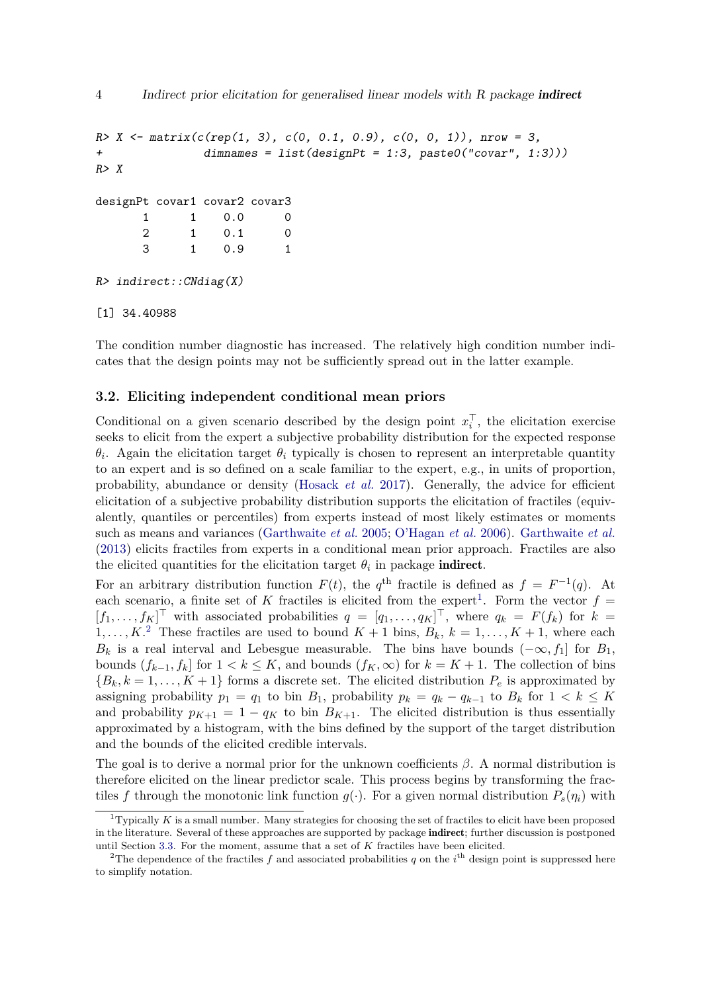```
R> X <- matrix(c(rep(1, 3), c(0, 0.1, 0.9), c(0, 0, 1)), nrow = 3,
+ dimnames = list(designPt = 1:3, paste0("covar", 1:3)))
R> X
designPt covar1 covar2 covar3
     1 1 0.0 0
     2 1 0.1 0
     3 1 0.9 1
R> indirect::CNdiag(X)
```
[1] 34.40988

The condition number diagnostic has increased. The relatively high condition number indicates that the design points may not be sufficiently spread out in the latter example.

### **3.2. Eliciting independent conditional mean priors**

Conditional on a given scenario described by the design point  $x_i^{\top}$  $i_i$ <sup> $\dagger$ </sup>, the elicitation exercise seeks to elicit from the expert a subjective probability distribution for the expected response *θi* . Again the elicitation target *θ<sup>i</sup>* typically is chosen to represent an interpretable quantity to an expert and is so defined on a scale familiar to the expert, e.g., in units of proportion, probability, abundance or density [\(Hosack](#page-20-8) *et al.* [2017\)](#page-20-8). Generally, the advice for efficient elicitation of a subjective probability distribution supports the elicitation of fractiles (equivalently, quantiles or percentiles) from experts instead of most likely estimates or moments such as means and variances [\(Garthwaite](#page-20-0) *et al.* [2005;](#page-20-0) O'Hagan *et al.* [2006\)](#page-21-0). [Garthwaite](#page-20-5) *et al.* [\(2013\)](#page-20-5) elicits fractiles from experts in a conditional mean prior approach. Fractiles are also the elicited quantities for the elicitation target  $\theta_i$  in package **indirect**.

For an arbitrary distribution function  $F(t)$ , the  $q^{\text{th}}$  fractile is defined as  $f = F^{-1}(q)$ . At each scenario, a finite set of *K* fractiles is elicited from the expert<sup>[1](#page-3-0)</sup>. Form the vector  $f =$  $[f_1, \ldots, f_K]^\top$  with associated probabilities  $q = [q_1, \ldots, q_K]^\top$ , where  $q_k = F(f_k)$  for  $k =$ 1, ...,  $K^2$  $K^2$  These fractiles are used to bound  $K + 1$  bins,  $B_k$ ,  $k = 1, \ldots, K + 1$ , where each  $B_k$  is a real interval and Lebesgue measurable. The bins have bounds  $(-\infty, f_1]$  for  $B_1$ , bounds  $(f_{k-1}, f_k]$  for  $1 < k \leq K$ , and bounds  $(f_K, \infty)$  for  $k = K + 1$ . The collection of bins  ${B_k, k = 1, \ldots, K+1}$  forms a discrete set. The elicited distribution  $P_e$  is approximated by assigning probability  $p_1 = q_1$  to bin  $B_1$ , probability  $p_k = q_k - q_{k-1}$  to  $B_k$  for  $1 < k \leq K$ and probability  $p_{K+1} = 1 - q_K$  to bin  $B_{K+1}$ . The elicited distribution is thus essentially approximated by a histogram, with the bins defined by the support of the target distribution and the bounds of the elicited credible intervals.

The goal is to derive a normal prior for the unknown coefficients *β*. A normal distribution is therefore elicited on the linear predictor scale. This process begins by transforming the fractiles *f* through the monotonic link function  $g(\cdot)$ . For a given normal distribution  $P_s(\eta_i)$  with

<span id="page-3-0"></span><sup>&</sup>lt;sup>1</sup>Typically *K* is a small number. Many strategies for choosing the set of fractiles to elicit have been proposed in the literature. Several of these approaches are supported by package indirect; further discussion is postponed until Section [3.3.](#page-4-0) For the moment, assume that a set of *K* fractiles have been elicited.

<span id="page-3-1"></span><sup>&</sup>lt;sup>2</sup>The dependence of the fractiles  $f$  and associated probabilities  $q$  on the  $i<sup>th</sup>$  design point is suppressed here to simplify notation.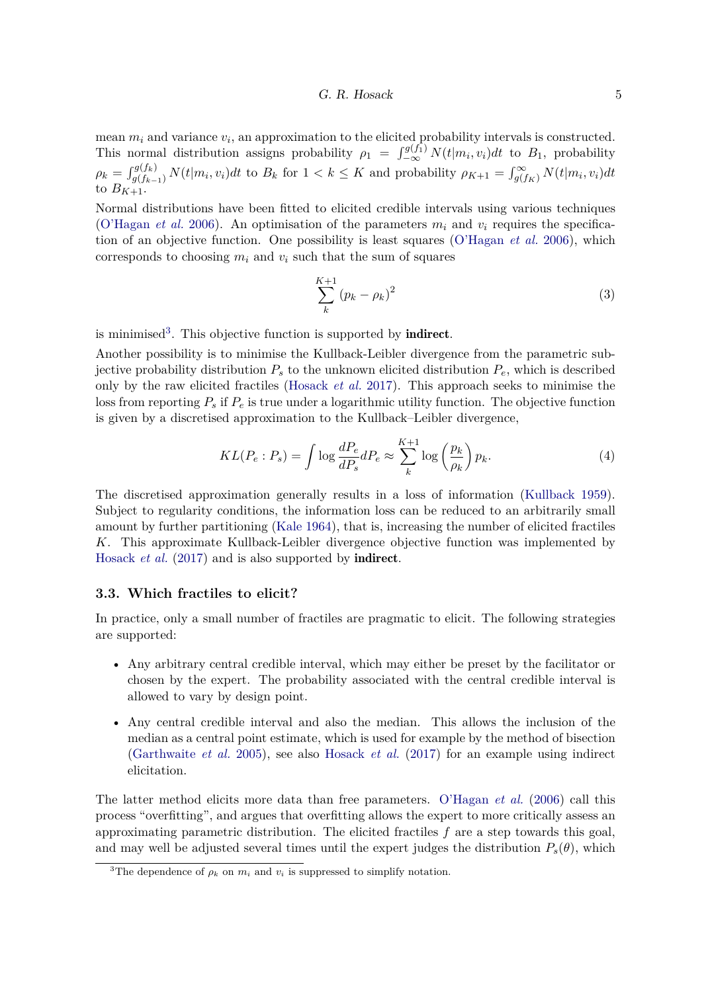#### $G. R. Hosack$  5

mean *m<sup>i</sup>* and variance *v<sup>i</sup>* , an approximation to the elicited probability intervals is constructed. This normal distribution assigns probability  $\rho_1 = \int_{-\infty}^{g(f_1)} N(t|m_i, v_i) dt$  to  $B_1$ , probability  $\rho_k = \int_{g(f_{k-1})}^{g(f_k)} N(t|m_i, v_i) dt$  to  $B_k$  for  $1 < k \leq K$  and probability  $\rho_{K+1} = \int_{g(f_K)}^{\infty} N(t|m_i, v_i) dt$ to  $B_{K+1}$ .

Normal distributions have been fitted to elicited credible intervals using various techniques (O'Hagan *et al.* [2006\)](#page-21-0). An optimisation of the parameters  $m_i$  and  $v_i$  requires the specification of an objective function. One possibility is least squares (O'Hagan *et al.* [2006\)](#page-21-0), which corresponds to choosing  $m_i$  and  $v_i$  such that the sum of squares

$$
\sum_{k}^{K+1} (p_k - \rho_k)^2 \tag{3}
$$

is minimised<sup>[3](#page-4-1)</sup>. This objective function is supported by **indirect**.

Another possibility is to minimise the Kullback-Leibler divergence from the parametric subjective probability distribution  $P_s$  to the unknown elicited distribution  $P_e$ , which is described only by the raw elicited fractiles [\(Hosack](#page-20-8) *et al.* [2017\)](#page-20-8). This approach seeks to minimise the loss from reporting  $P_s$  if  $P_e$  is true under a logarithmic utility function. The objective function is given by a discretised approximation to the Kullback–Leibler divergence,

$$
KL(P_e : P_s) = \int \log \frac{dP_e}{dP_s} dP_e \approx \sum_{k}^{K+1} \log \left(\frac{p_k}{\rho_k}\right) p_k.
$$
 (4)

The discretised approximation generally results in a loss of information [\(Kullback 1959\)](#page-20-10). Subject to regularity conditions, the information loss can be reduced to an arbitrarily small amount by further partitioning [\(Kale 1964\)](#page-20-11), that is, increasing the number of elicited fractiles *K*. This approximate Kullback-Leibler divergence objective function was implemented by [Hosack](#page-20-8) *et al.* [\(2017\)](#page-20-8) and is also supported by **indirect**.

### <span id="page-4-0"></span>**3.3. Which fractiles to elicit?**

In practice, only a small number of fractiles are pragmatic to elicit. The following strategies are supported:

- Any arbitrary central credible interval, which may either be preset by the facilitator or chosen by the expert. The probability associated with the central credible interval is allowed to vary by design point.
- Any central credible interval and also the median. This allows the inclusion of the median as a central point estimate, which is used for example by the method of bisection [\(Garthwaite](#page-20-0) *et al.* [2005\)](#page-20-0), see also [Hosack](#page-20-8) *et al.* [\(2017\)](#page-20-8) for an example using indirect elicitation.

The latter method elicits more data than free parameters. O'Hagan *et al.* [\(2006\)](#page-21-0) call this process "overfitting", and argues that overfitting allows the expert to more critically assess an approximating parametric distribution. The elicited fractiles *f* are a step towards this goal, and may well be adjusted several times until the expert judges the distribution  $P_s(\theta)$ , which

<span id="page-4-1"></span><sup>&</sup>lt;sup>3</sup>The dependence of  $\rho_k$  on  $m_i$  and  $v_i$  is suppressed to simplify notation.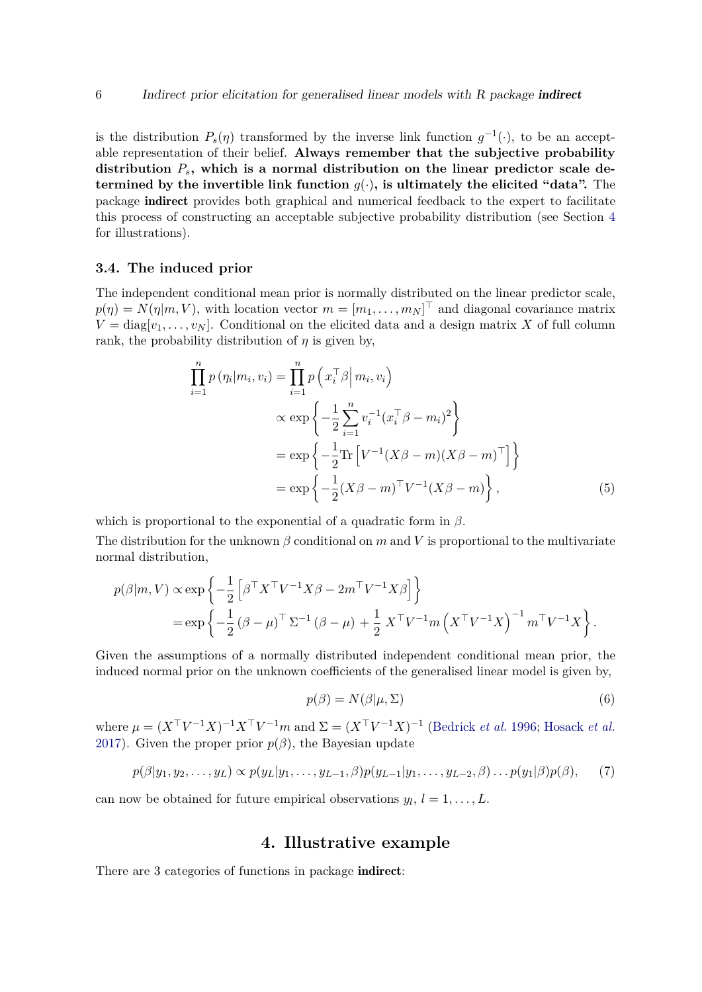is the distribution  $P_s(\eta)$  transformed by the inverse link function  $g^{-1}(\cdot)$ , to be an acceptable representation of their belief. **Always remember that the subjective probability distribution** *Ps***, which is a normal distribution on the linear predictor scale determined by the invertible link function**  $g(\cdot)$ , is ultimately the elicited "data". The package indirect provides both graphical and numerical feedback to the expert to facilitate this process of constructing an acceptable subjective probability distribution (see Section [4](#page-5-0) for illustrations).

### **3.4. The induced prior**

The independent conditional mean prior is normally distributed on the linear predictor scale,  $p(\eta) = \hat{N}(\eta|m, V)$ , with location vector  $m = [m_1, \ldots, m_N]^\top$  and diagonal covariance matrix  $V = \text{diag}[v_1, \ldots, v_N]$ . Conditional on the elicited data and a design matrix X of full column rank, the probability distribution of  $\eta$  is given by,

$$
\prod_{i=1}^{n} p(\eta_i | m_i, v_i) = \prod_{i=1}^{n} p\left(x_i^{\top} \beta \middle| m_i, v_i\right)
$$
\n
$$
\propto \exp\left\{-\frac{1}{2} \sum_{i=1}^{n} v_i^{-1} (x_i^{\top} \beta - m_i)^2\right\}
$$
\n
$$
= \exp\left\{-\frac{1}{2} \text{Tr}\left[V^{-1} (X\beta - m)(X\beta - m)^{\top}\right]\right\}
$$
\n
$$
= \exp\left\{-\frac{1}{2} (X\beta - m)^{\top} V^{-1} (X\beta - m)\right\},
$$
\n(5)

which is proportional to the exponential of a quadratic form in *β*. The distribution for the unknown  $\beta$  conditional on  $m$  and  $V$  is proportional to the multivariate normal distribution,

$$
p(\beta|m,V) \propto \exp\left\{-\frac{1}{2}\left[\beta^{\top}X^{\top}V^{-1}X\beta - 2m^{\top}V^{-1}X\beta\right]\right\}
$$
  
=  $\exp\left\{-\frac{1}{2}(\beta - \mu)^{\top}\Sigma^{-1}(\beta - \mu) + \frac{1}{2}X^{\top}V^{-1}m(X^{\top}V^{-1}X)^{-1}m^{\top}V^{-1}X\right\}.$ 

Given the assumptions of a normally distributed independent conditional mean prior, the induced normal prior on the unknown coefficients of the generalised linear model is given by,

$$
p(\beta) = N(\beta|\mu, \Sigma) \tag{6}
$$

where  $\mu = (X^{\top}V^{-1}X)^{-1}X^{\top}V^{-1}m$  and  $\Sigma = (X^{\top}V^{-1}X)^{-1}$  [\(Bedrick](#page-20-3) *et al.* [1996;](#page-20-3) [Hosack](#page-20-8) *et al.* [2017\)](#page-20-8). Given the proper prior  $p(\beta)$ , the Bayesian update

$$
p(\beta|y_1, y_2, \dots, y_L) \propto p(y_L|y_1, \dots, y_{L-1}, \beta)p(y_{L-1}|y_1, \dots, y_{L-2}, \beta)\dots p(y_1|\beta)p(\beta), \qquad (7)
$$

can now be obtained for future empirical observations  $y_l$ ,  $l = 1, \ldots, L$ .

# **4. Illustrative example**

<span id="page-5-0"></span>There are 3 categories of functions in package indirect: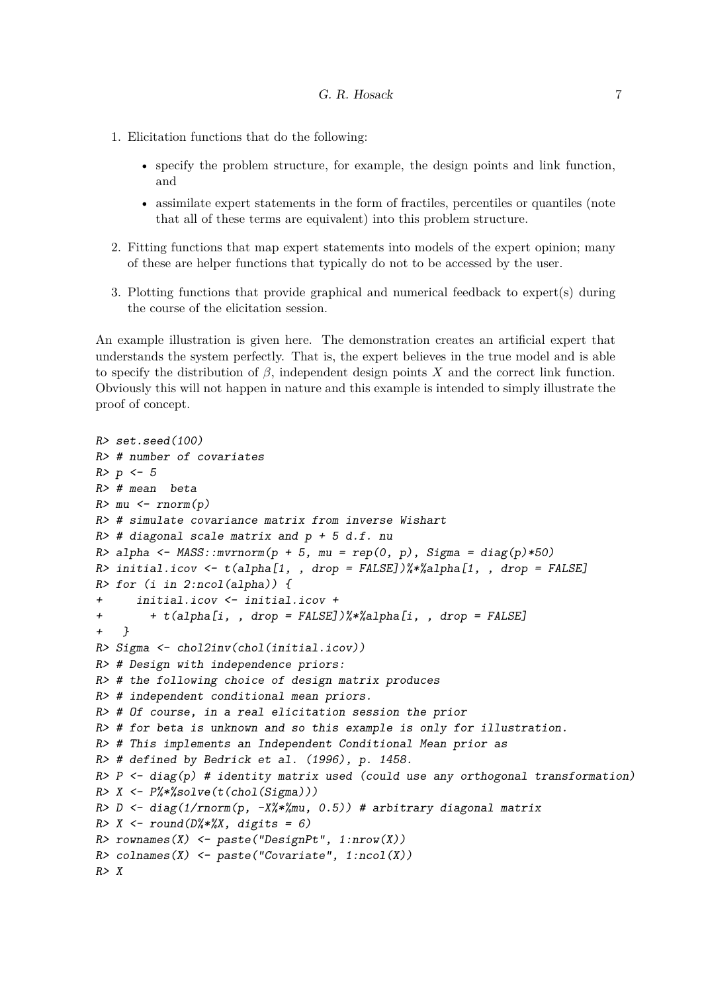- 1. Elicitation functions that do the following:
	- specify the problem structure, for example, the design points and link function, and
	- assimilate expert statements in the form of fractiles, percentiles or quantiles (note that all of these terms are equivalent) into this problem structure.
- 2. Fitting functions that map expert statements into models of the expert opinion; many of these are helper functions that typically do not to be accessed by the user.
- 3. Plotting functions that provide graphical and numerical feedback to expert(s) during the course of the elicitation session.

An example illustration is given here. The demonstration creates an artificial expert that understands the system perfectly. That is, the expert believes in the true model and is able to specify the distribution of  $\beta$ , independent design points  $X$  and the correct link function. Obviously this will not happen in nature and this example is intended to simply illustrate the proof of concept.

```
R> set.seed(100)
R> # number of covariates
R> p <- 5
R> # mean beta
R> mu <- rnorm(p)
R> # simulate covariance matrix from inverse Wishart
R> # diagonal scale matrix and p + 5 d.f. nu
R> alpha <- MASS::mvrnorm(p + 5, mu = rep(0, p), Sigma = diag(p)*50)
R> initial.icov <- t(alpha[1, , drop = FALSE])%*%alpha[1, , drop = FALSE]
R> for (i in 2:ncol(alpha)) {
+ initial.icov <- initial.icov +
+ + t(alpha[i, , drop = FALSE])%*%alpha[i, , drop = FALSE]
+ }
R> Sigma <- chol2inv(chol(initial.icov))
R> # Design with independence priors:
R> # the following choice of design matrix produces
R> # independent conditional mean priors.
R> # Of course, in a real elicitation session the prior
R> # for beta is unknown and so this example is only for illustration.
R> # This implements an Independent Conditional Mean prior as
R> # defined by Bedrick et al. (1996), p. 1458.
R> P <- diag(p) # identity matrix used (could use any orthogonal transformation)
R> X <- P%*%solve(t(chol(Sigma)))
R> D <- diag(1/rnorm(p, -X%*%mu, 0.5)) # arbitrary diagonal matrix
R> X <- round(D%*%X, digits = 6)
R> rownames(X) <- paste("DesignPt", 1:nrow(X))
R> colnames(X) <- paste("Covariate", 1:ncol(X))
R> X
```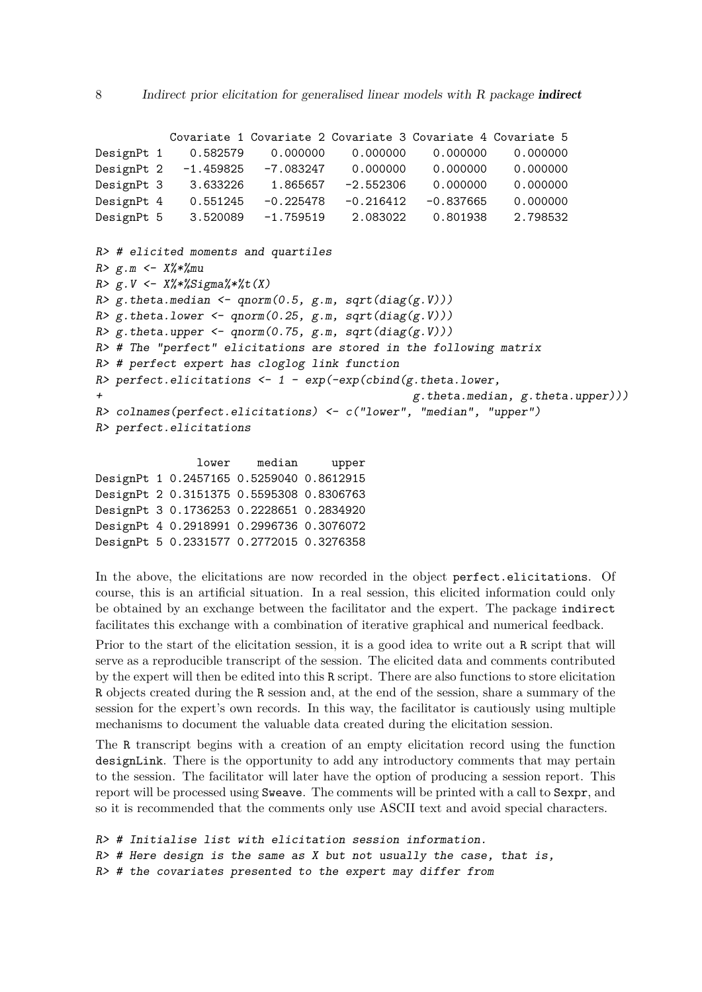| 0.000000<br>DesignPt 1<br>0.000000<br>0.000000<br>DesignPt 2 -1.459825 -7.083247 0.000000 0.000000 0.000000<br>DesignPt 3 3.633226 1.865657 -2.552306 0.000000 0.000000<br>DesignPt 4  0.551245  -0.225478  -0.216412<br>-0.837665<br>0.000000<br>DesignPt 5 3.520089 -1.759519 2.083022<br>0.801938<br>2.798532<br>R> # elicited moments and quartiles<br>$R > g.m \leftarrow X\%*\%mu$<br>$R > g. V < - X'' + \%$ Sigma%*%t(X)<br>$R > g.$ theta.median $\leq$ qnorm $(0.5, g.m. sqrt(diag(g.V)))$<br>$R > g$ .theta.lower <- qnorm(0.25, g.m, sqrt(diag(g.V)))<br>$R > g$ .theta.upper <- qnorm(0.75, g.m, sqrt(diag(g.V)))<br>$R$ $\ge$ # The "perfect" elicitations are stored in the following matrix<br>R> # perfect expert has cloglog link function<br>$R$ > perfect.elicitations <- 1 - exp(-exp(cbind(g.theta.lower,<br>$g.$ theta. median, $g.$ theta. upper)))<br>$+$<br>$R$ > colnames(perfect.elicitations) <- c("lower", "median", "upper")<br>R> perfect.elicitations |  | Covariate 1 Covariate 2 Covariate 3 Covariate 4 Covariate 5 |  |  |
|----------------------------------------------------------------------------------------------------------------------------------------------------------------------------------------------------------------------------------------------------------------------------------------------------------------------------------------------------------------------------------------------------------------------------------------------------------------------------------------------------------------------------------------------------------------------------------------------------------------------------------------------------------------------------------------------------------------------------------------------------------------------------------------------------------------------------------------------------------------------------------------------------------------------------------------------------------------------------------------|--|-------------------------------------------------------------|--|--|
|                                                                                                                                                                                                                                                                                                                                                                                                                                                                                                                                                                                                                                                                                                                                                                                                                                                                                                                                                                                        |  |                                                             |  |  |
|                                                                                                                                                                                                                                                                                                                                                                                                                                                                                                                                                                                                                                                                                                                                                                                                                                                                                                                                                                                        |  |                                                             |  |  |
|                                                                                                                                                                                                                                                                                                                                                                                                                                                                                                                                                                                                                                                                                                                                                                                                                                                                                                                                                                                        |  |                                                             |  |  |
|                                                                                                                                                                                                                                                                                                                                                                                                                                                                                                                                                                                                                                                                                                                                                                                                                                                                                                                                                                                        |  |                                                             |  |  |
|                                                                                                                                                                                                                                                                                                                                                                                                                                                                                                                                                                                                                                                                                                                                                                                                                                                                                                                                                                                        |  |                                                             |  |  |
|                                                                                                                                                                                                                                                                                                                                                                                                                                                                                                                                                                                                                                                                                                                                                                                                                                                                                                                                                                                        |  |                                                             |  |  |

lower median upper DesignPt 1 0.2457165 0.5259040 0.8612915 DesignPt 2 0.3151375 0.5595308 0.8306763 DesignPt 3 0.1736253 0.2228651 0.2834920 DesignPt 4 0.2918991 0.2996736 0.3076072 DesignPt 5 0.2331577 0.2772015 0.3276358

In the above, the elicitations are now recorded in the object perfect.elicitations. Of course, this is an artificial situation. In a real session, this elicited information could only be obtained by an exchange between the facilitator and the expert. The package indirect facilitates this exchange with a combination of iterative graphical and numerical feedback.

Prior to the start of the elicitation session, it is a good idea to write out a R script that will serve as a reproducible transcript of the session. The elicited data and comments contributed by the expert will then be edited into this R script. There are also functions to store elicitation R objects created during the R session and, at the end of the session, share a summary of the session for the expert's own records. In this way, the facilitator is cautiously using multiple mechanisms to document the valuable data created during the elicitation session.

The R transcript begins with a creation of an empty elicitation record using the function designLink. There is the opportunity to add any introductory comments that may pertain to the session. The facilitator will later have the option of producing a session report. This report will be processed using Sweave. The comments will be printed with a call to Sexpr, and so it is recommended that the comments only use ASCII text and avoid special characters.

```
R> # Initialise list with elicitation session information.
R> # Here design is the same as X but not usually the case, that is,
R> # the covariates presented to the expert may differ from
```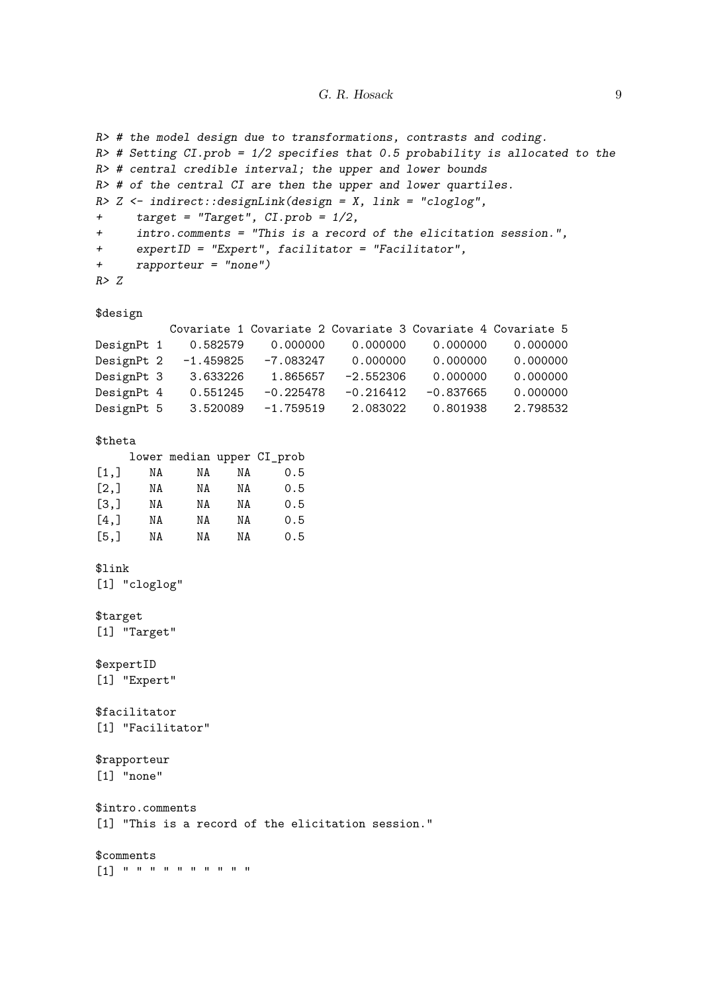G. R. Hosack 9

```
R> # the model design due to transformations, contrasts and coding.
R> # Setting CI.prob = 1/2 specifies that 0.5 probability is allocated to the
R> # central credible interval; the upper and lower bounds
R> # of the central CI are then the upper and lower quartiles.
R> Z <- indirect::designLink(design = X, link = "cloglog",
+ target = "Target", CI.prob = 1/2,
+ intro.comments = "This is a record of the elicitation session.",
     + expertID = "Expert", facilitator = "Facilitator",
+ rapporteur = "none")
R> Z
$design
         Covariate 1 Covariate 2 Covariate 3 Covariate 4 Covariate 5
DesignPt 1 0.582579 0.000000 0.000000 0.000000 0.000000
DesignPt 2 -1.459825 -7.083247 0.000000 0.000000 0.000000
DesignPt 3 3.633226 1.865657 -2.552306 0.000000 0.000000
DesignPt 4 0.551245 -0.225478 -0.216412 -0.837665 0.000000
DesignPt 5 3.520089 -1.759519 2.083022 0.801938 2.798532
$theta
    lower median upper CI_prob
[1,] NA NA NA 0.5
[2,] NA NA NA 0.5
[3,] NA NA NA 0.5
[4,] NA NA NA 0.5
[5,] MA NA NA 0.5
$link
[1] "cloglog"
$target
[1] "Target"
$expertID
[1] "Expert"
$facilitator
[1] "Facilitator"
$rapporteur
[1] "none"
$intro.comments
[1] "This is a record of the elicitation session."
$comments
[1] " " " " " " " " " "
```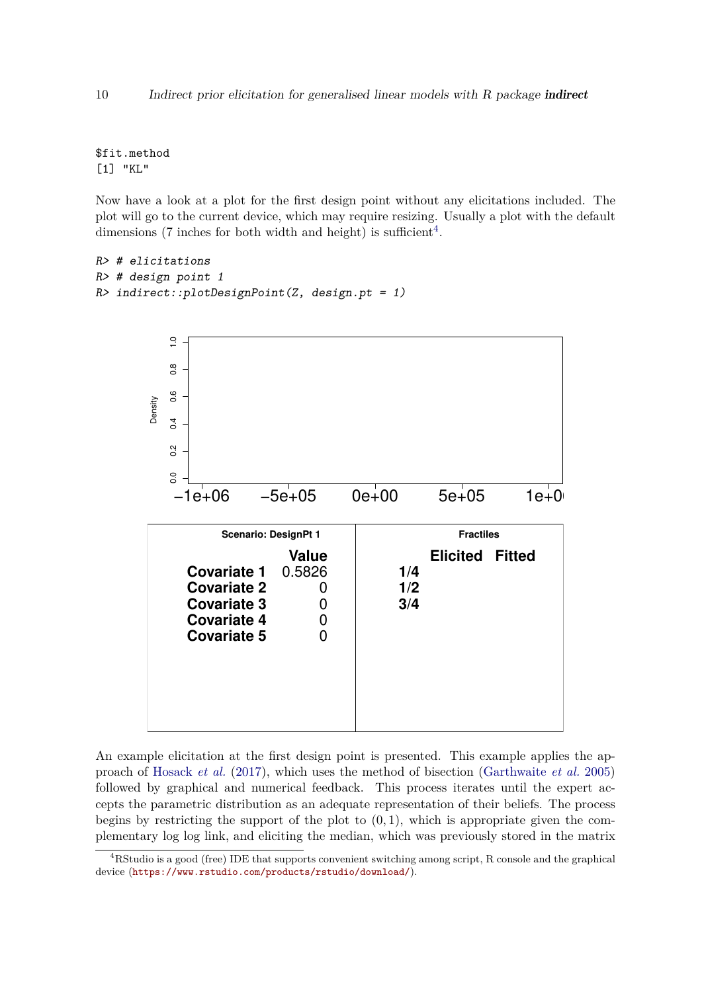\$fit.method [1] "KL"

Now have a look at a plot for the first design point without any elicitations included. The plot will go to the current device, which may require resizing. Usually a plot with the default dimensions (7 inches for both width and height) is sufficient<sup>[4](#page-9-0)</sup>.

```
R> # elicitations
R> # design point 1
R> indirect::plotDesignPoint(Z, design.pt = 1)
```


An example elicitation at the first design point is presented. This example applies the approach of [Hosack](#page-20-8) *et al.* [\(2017\)](#page-20-8), which uses the method of bisection [\(Garthwaite](#page-20-0) *et al.* [2005\)](#page-20-0) followed by graphical and numerical feedback. This process iterates until the expert accepts the parametric distribution as an adequate representation of their beliefs. The process begins by restricting the support of the plot to  $(0,1)$ , which is appropriate given the complementary log log link, and eliciting the median, which was previously stored in the matrix

<span id="page-9-0"></span><sup>4</sup>RStudio is a good (free) IDE that supports convenient switching among script, R console and the graphical device (<https://www.rstudio.com/products/rstudio/download/>).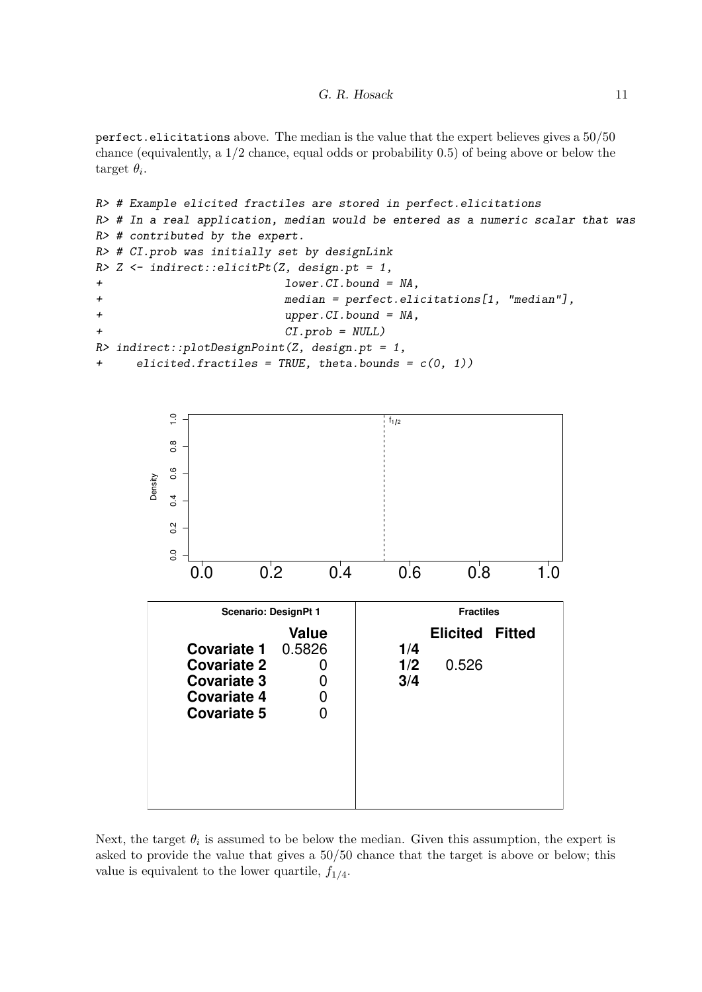perfect.elicitations above. The median is the value that the expert believes gives a 50*/*50 chance (equivalently, a 1*/*2 chance, equal odds or probability 0.5) of being above or below the target  $\theta_i$ .

```
R> # Example elicited fractiles are stored in perfect.elicitations
R> # In a real application, median would be entered as a numeric scalar that was
R> # contributed by the expert.
R> # CI.prob was initially set by designLink
R> Z <- indirect::elicitPt(Z, design.pt = 1,
+ lower.CI.bound = NA,
+ median = perfect.elicitations[1, "median"],
+ upper.CI.bound = NA,
+ CI.prob = NULL)
R> indirect::plotDesignPoint(Z, design.pt = 1,
+ elicited.fractiles = TRUE, theta.bounds = c(0, 1))
```


Next, the target  $\theta_i$  is assumed to be below the median. Given this assumption, the expert is asked to provide the value that gives a 50/50 chance that the target is above or below; this value is equivalent to the lower quartile,  $f_{1/4}$ .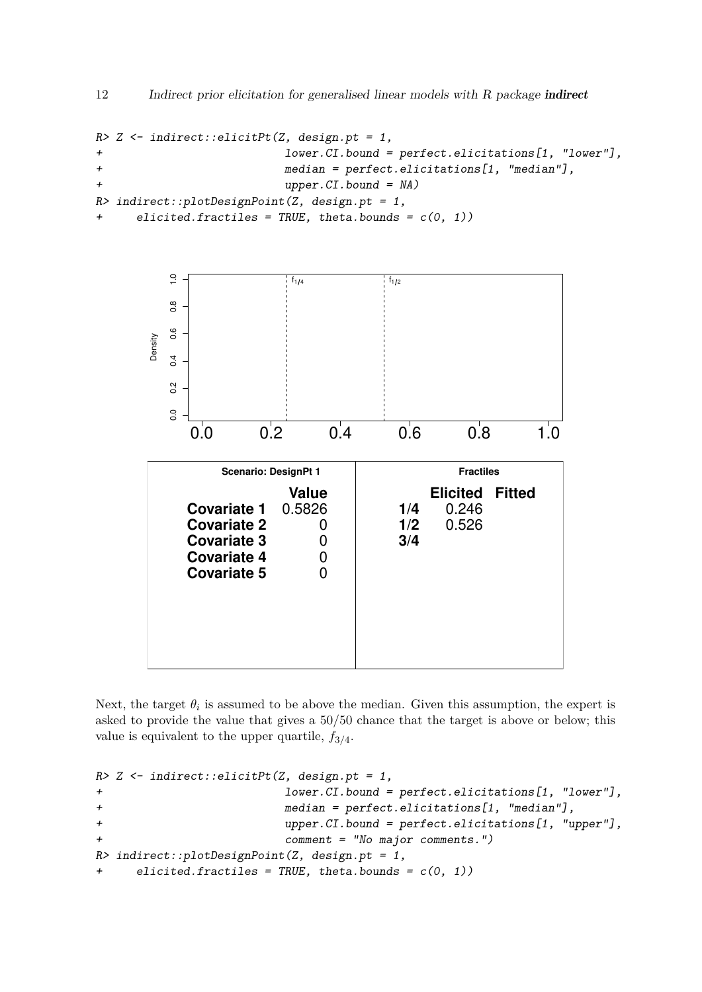```
R> Z <- indirect::elicitPt(Z, design.pt = 1,
+ lower.CI.bound = perfect.elicitations[1, "lower"],
+ median = perfect.elicitations[1, "median"],
+ upper.CI.bound = NA)
R> indirect::plotDesignPoint(Z, design.pt = 1,
    elicated.fractiles = TRUE, theta.bounds = c(0, 1)
```


Next, the target  $\theta_i$  is assumed to be above the median. Given this assumption, the expert is asked to provide the value that gives a 50/50 chance that the target is above or below; this value is equivalent to the upper quartile,  $f_{3/4}$ .

```
R> Z <- indirect::elicitPt(Z, design.pt = 1,
+ lower.CI.bound = perfect.elicitations[1, "lower"],
+ median = perfect.elicitations[1, "median"],
+ upper.CI.bound = perfect.elicitations[1, "upper"],
+ comment = "No major comments.")
R> indirect::plotDesignPoint(Z, design.pt = 1,
+ elicited.fractiles = TRUE, theta.bounds = c(0, 1))
```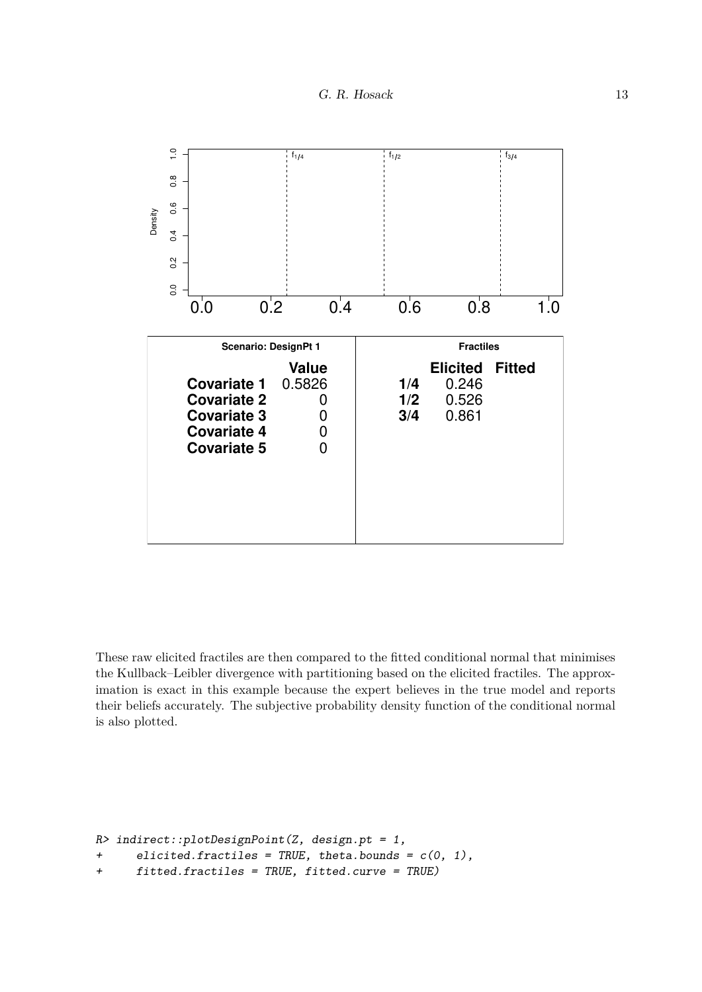

These raw elicited fractiles are then compared to the fitted conditional normal that minimises the Kullback–Leibler divergence with partitioning based on the elicited fractiles. The approximation is exact in this example because the expert believes in the true model and reports their beliefs accurately. The subjective probability density function of the conditional normal is also plotted.

```
R> indirect::plotDesignPoint(Z, design.pt = 1,
+ elicited.fractiles = TRUE, theta.bounds = c(0, 1),
+ fitted.fractiles = TRUE, fitted.curve = TRUE)
```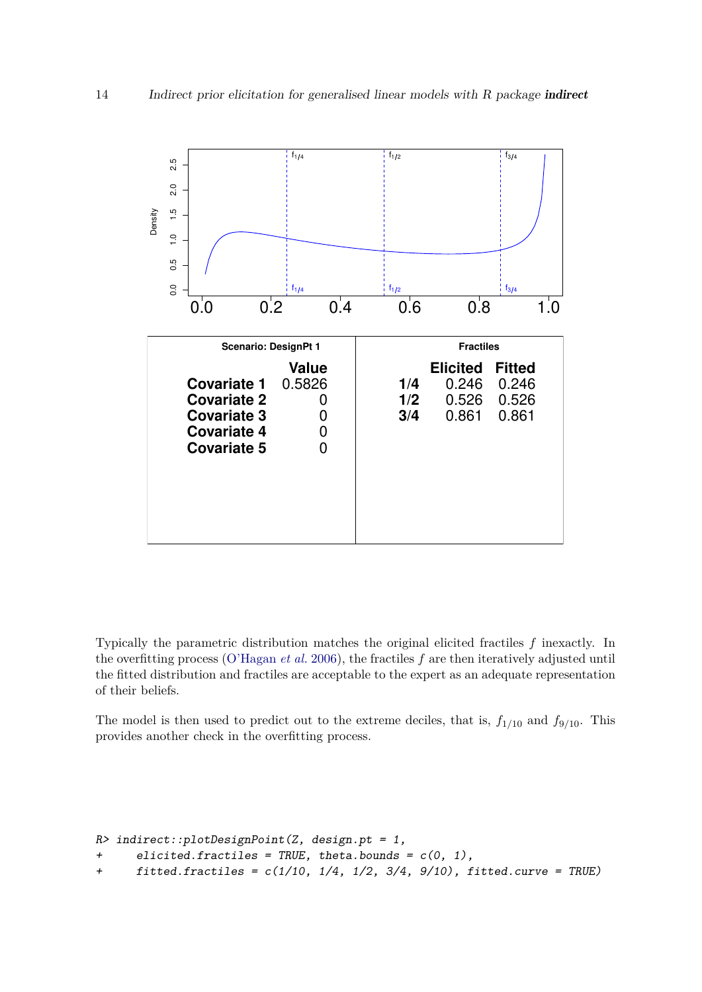

Typically the parametric distribution matches the original elicited fractiles *f* inexactly. In the overfitting process (O'Hagan *et al.* [2006\)](#page-21-0), the fractiles  $f$  are then iteratively adjusted until the fitted distribution and fractiles are acceptable to the expert as an adequate representation of their beliefs.

The model is then used to predict out to the extreme deciles, that is,  $f_{1/10}$  and  $f_{9/10}$ . This provides another check in the overfitting process.

```
R> indirect::plotDesignPoint(Z, design.pt = 1,
+ elicited.fractiles = TRUE, theta.bounds = c(0, 1),
+ fitted.fractiles = c(1/10, 1/4, 1/2, 3/4, 9/10), fitted.curve = TRUE)
```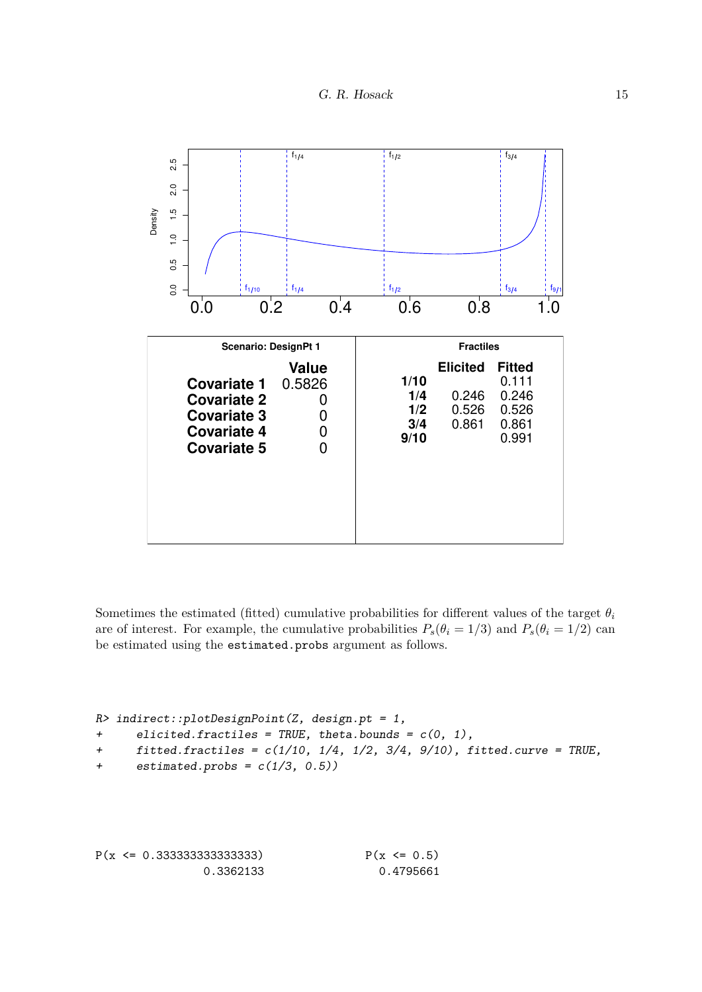

Sometimes the estimated (fitted) cumulative probabilities for different values of the target  $\theta_i$ are of interest. For example, the cumulative probabilities  $P_s(\theta_i = 1/3)$  and  $P_s(\theta_i = 1/2)$  can be estimated using the estimated.probs argument as follows.

```
R> indirect::plotDesignPoint(Z, design.pt = 1,
```

```
+ elicited.fractiles = TRUE, theta.bounds = c(0, 1),
```

```
+ fitted.fractiles = c(1/10, 1/4, 1/2, 3/4, 9/10), fitted.curve = TRUE,
```

```
+ estimated.probs = c(1/3, 0.5))
```

| $P(x \le 0.333333333333333)$ | $P(x \le 0.5)$ |
|------------------------------|----------------|
| 0.3362133                    | 0.4795661      |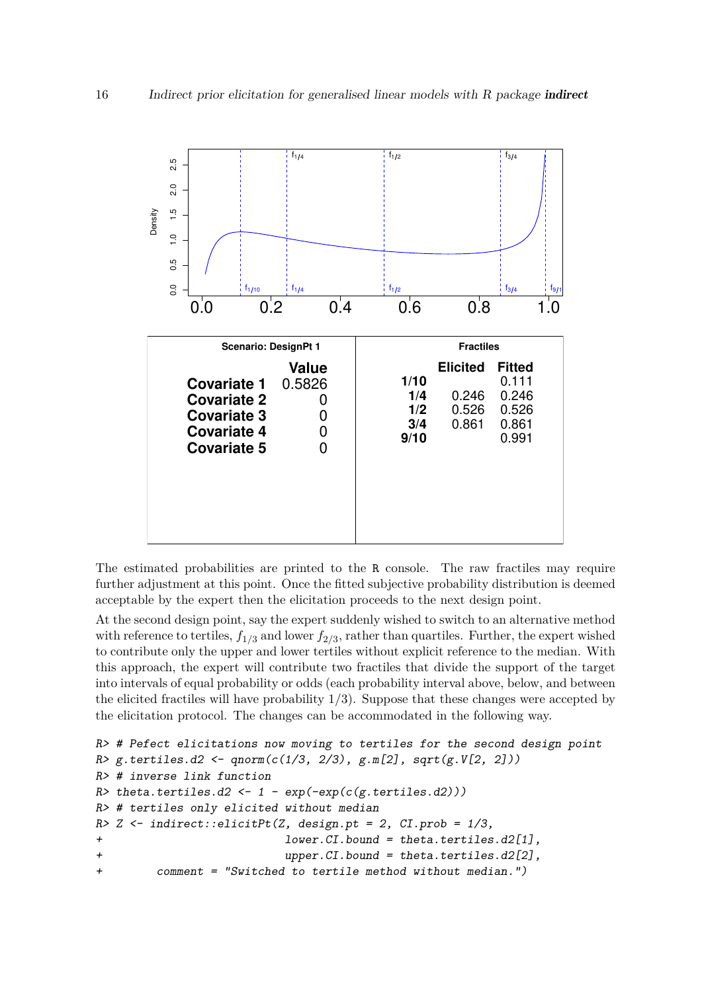

The estimated probabilities are printed to the R console. The raw fractiles may require further adjustment at this point. Once the fitted subjective probability distribution is deemed acceptable by the expert then the elicitation proceeds to the next design point.

At the second design point, say the expert suddenly wished to switch to an alternative method with reference to tertiles,  $f_{1/3}$  and lower  $f_{2/3}$ , rather than quartiles. Further, the expert wished to contribute only the upper and lower tertiles without explicit reference to the median. With this approach, the expert will contribute two fractiles that divide the support of the target into intervals of equal probability or odds (each probability interval above, below, and between the elicited fractiles will have probability 1*/*3). Suppose that these changes were accepted by the elicitation protocol. The changes can be accommodated in the following way.

```
R> # Pefect elicitations now moving to tertiles for the second design point
R> g.tertiles.d2 <- qnorm(c(1/3, 2/3), g.m[2], sqrt(g.V[2, 2]))
R> # inverse link function
R> theta.tertiles.d2 <- 1 - exp(-exp(c(g.tertiles.d2)))
R> # tertiles only elicited without median
R> Z <- indirect::elicitPt(Z, design.pt = 2, CI.prob = 1/3,
+ lower.CI.bound = theta.tertiles.d2[1],
+ upper.CI.bound = theta.tertiles.d2[2],
+ comment = "Switched to tertile method without median.")
```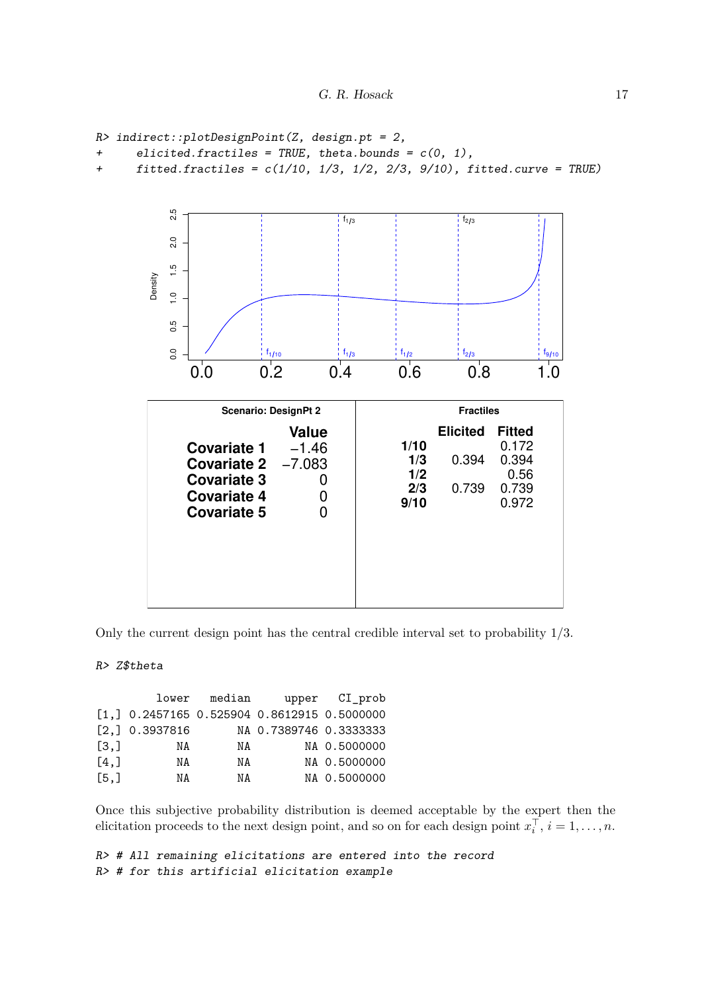```
R> indirect::plotDesignPoint(Z, design.pt = 2,
```

```
+ elicited.fractiles = TRUE, theta.bounds = c(0, 1),
```

```
+ fitted.fractiles = c(1/10, 1/3, 1/2, 2/3, 9/10), fitted.curve = TRUE)
```


Only the current design point has the central credible interval set to probability 1*/*3.

*R> Z\$theta*

|                    |                                               |    | lower median upper CI_prob |              |
|--------------------|-----------------------------------------------|----|----------------------------|--------------|
|                    | $[1,]$ 0.2457165 0.525904 0.8612915 0.5000000 |    |                            |              |
|                    | $[2,]$ 0.3937816                              |    | NA 0.7389746 0.3333333     |              |
| $\left[3, \right]$ | NA                                            | NA |                            | NA 0.5000000 |
| [4,]               | NA                                            | NA |                            | NA 0.5000000 |
| [5,]               | ΝA                                            | ΝA |                            | NA 0.5000000 |

Once this subjective probability distribution is deemed acceptable by the expert then the elicitation proceeds to the next design point, and so on for each design point  $x_i^{\top}$  $i^{\dagger}$ ,  $i=1,\ldots,n$ .

*R> # All remaining elicitations are entered into the record R> # for this artificial elicitation example*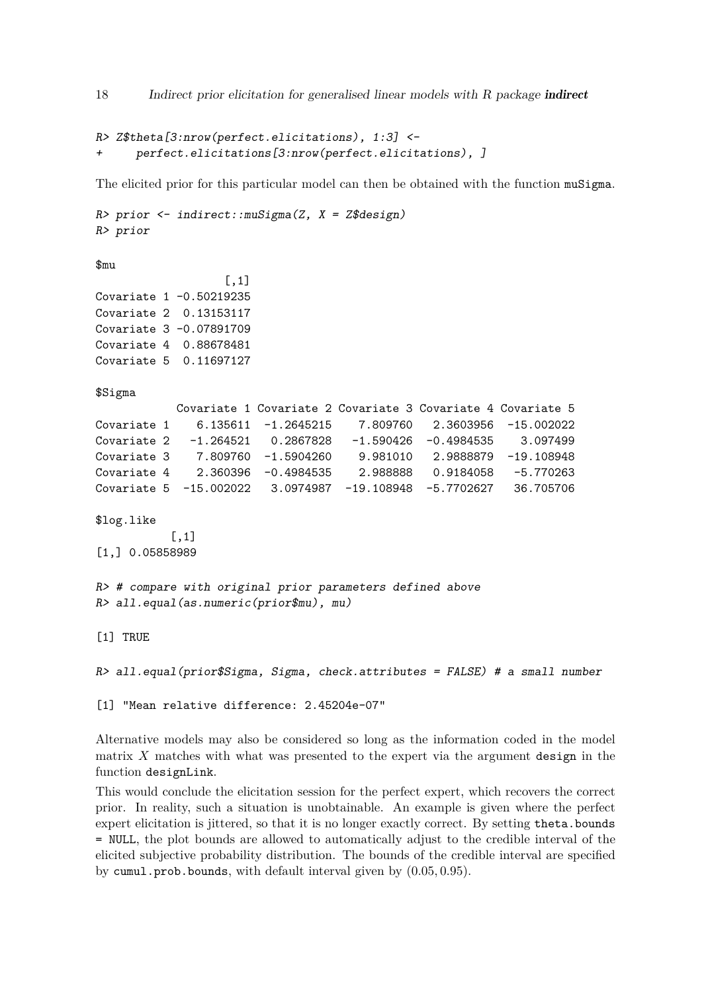18 Indirect prior elicitation for generalised linear models with R package **indirect** 

```
R> Z$theta[3:nrow(perfect.elicitations), 1:3] <-
+ perfect.elicitations[3:nrow(perfect.elicitations), ]
```
The elicited prior for this particular model can then be obtained with the function muSigma.

```
R> prior <- indirect::muSigma(Z, X = Z$design)
R> prior
```
 $[$  1]

\$mu

|  | .                       |
|--|-------------------------|
|  | Covariate 1 -0.50219235 |
|  | Covariate 2 0.13153117  |
|  | Covariate 3 -0.07891709 |
|  | Covariate 4 0.88678481  |
|  | Covariate 5 0.11697127  |
|  |                         |

\$Sigma

|  | Covariate 1 Covariate 2 Covariate 3 Covariate 4 Covariate 5      |                                 |  |
|--|------------------------------------------------------------------|---------------------------------|--|
|  | Covariate 1 6.135611 -1.2645215 7.809760 2.3603956 -15.002022    |                                 |  |
|  | Covariate 2 -1.264521 0.2867828 -1.590426 -0.4984535 3.097499    |                                 |  |
|  | Covariate 3 7.809760 -1.5904260                                  | $9.981010$ 2.9888879 -19.108948 |  |
|  | Covariate 4 2.360396 -0.4984535                                  | 2.988888  0.9184058  -5.770263  |  |
|  | Covariate 5 -15.002022 3.0974987 -19.108948 -5.7702627 36.705706 |                                 |  |

\$log.like

[,1] [1,] 0.05858989

```
R> # compare with original prior parameters defined above
R> all.equal(as.numeric(prior$mu), mu)
```
[1] TRUE

```
R> all.equal(prior$Sigma, Sigma, check.attributes = FALSE) # a small number
```
[1] "Mean relative difference: 2.45204e-07"

Alternative models may also be considered so long as the information coded in the model matrix *X* matches with what was presented to the expert via the argument design in the function designLink.

This would conclude the elicitation session for the perfect expert, which recovers the correct prior. In reality, such a situation is unobtainable. An example is given where the perfect expert elicitation is jittered, so that it is no longer exactly correct. By setting theta.bounds = NULL, the plot bounds are allowed to automatically adjust to the credible interval of the elicited subjective probability distribution. The bounds of the credible interval are specified by cumul.prob.bounds, with default interval given by (0*.*05*,* 0*.*95).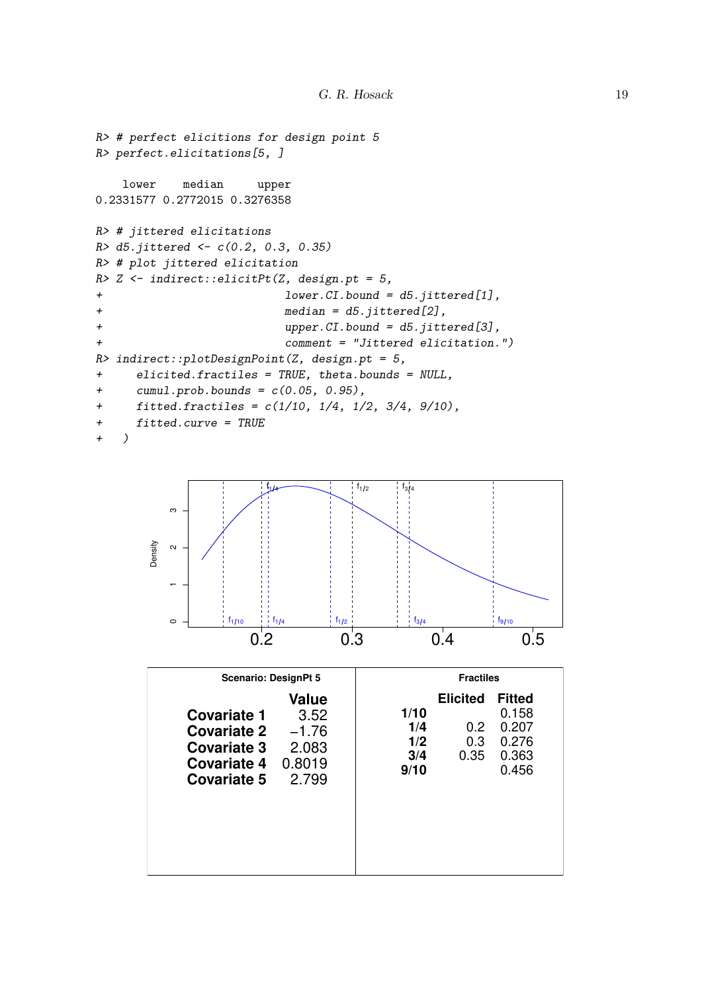```
R> # perfect elicitions for design point 5
R> perfect.elicitations[5, ]
   lower median upper
0.2331577 0.2772015 0.3276358
R> # jittered elicitations
R> d5.jittered <- c(0.2, 0.3, 0.35)
R> # plot jittered elicitation
R> Z <- indirect::elicitPt(Z, design.pt = 5,
+ lower.CI.bound = d5.jittered[1],
+ median = d5.jittered[2],
+ upper.CI.bound = d5.jittered[3],
+ comment = "Jittered elicitation.")
R> indirect::plotDesignPoint(Z, design.pt = 5,
+ elicited.fractiles = TRUE, theta.bounds = NULL,
+ cumul.prob.bounds = c(0.05, 0.95),
+ fitted.fractiles = c(1/10, 1/4, 1/2, 3/4, 9/10),
+ fitted.curve = TRUE
+ )
```


| <b>Scenario: DesignPt 5</b>                                                                                                                          | <b>Fractiles</b>                                                                                                                         |  |  |
|------------------------------------------------------------------------------------------------------------------------------------------------------|------------------------------------------------------------------------------------------------------------------------------------------|--|--|
| Value<br>3.52<br><b>Covariate 1</b><br>$-1.76$<br><b>Covariate 2</b><br>2.083<br>Covariate 3<br>0.8019<br>Covariate 4<br>2.799<br><b>Covariate 5</b> | <b>Elicited</b><br><b>Fitted</b><br>0.158<br>1/10<br>0.207<br>1/4<br>0.2<br>1/2<br>0.276<br>0.3<br>0.35<br>0.363<br>3/4<br>0.456<br>9/10 |  |  |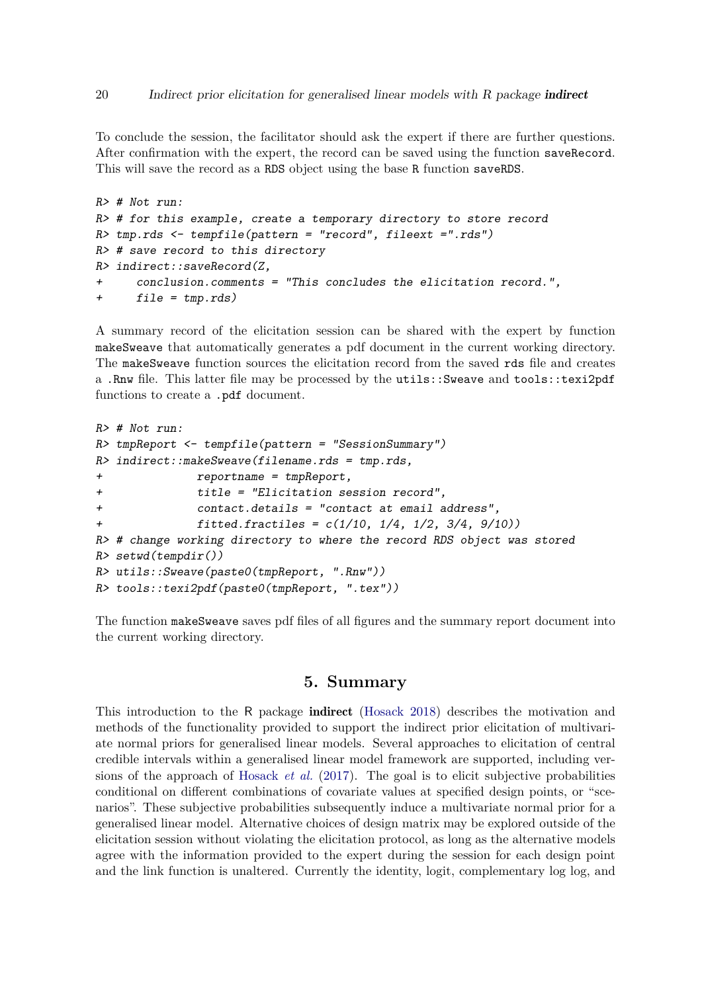To conclude the session, the facilitator should ask the expert if there are further questions. After confirmation with the expert, the record can be saved using the function saveRecord. This will save the record as a RDS object using the base R function saveRDS.

```
R> # Not run:
R> # for this example, create a temporary directory to store record
R> tmp.rds <- tempfile(pattern = "record", fileext =".rds")
R> # save record to this directory
R> indirect::saveRecord(Z,
+ conclusion.comments = "This concludes the elicitation record.",
+ file = tmp.rds)
```
A summary record of the elicitation session can be shared with the expert by function makeSweave that automatically generates a pdf document in the current working directory. The makeSweave function sources the elicitation record from the saved rds file and creates a .Rnw file. This latter file may be processed by the utils::Sweave and tools::texi2pdf functions to create a .pdf document.

```
R> # Not run:
R> tmpReport <- tempfile(pattern = "SessionSummary")
R> indirect::makeSweave(filename.rds = tmp.rds,
+ reportname = tmpReport,
+ title = "Elicitation session record",
+ contact.details = "contact at email address",
+ fitted.fractiles = c(1/10, 1/4, 1/2, 3/4, 9/10))
R> # change working directory to where the record RDS object was stored
R> setwd(tempdir())
R> utils::Sweave(paste0(tmpReport, ".Rnw"))
R> tools::texi2pdf(paste0(tmpReport, ".tex"))
```
The function makeSweave saves pdf files of all figures and the summary report document into the current working directory.

# **5. Summary**

This introduction to the R package indirect [\(Hosack 2018\)](#page-20-7) describes the motivation and methods of the functionality provided to support the indirect prior elicitation of multivariate normal priors for generalised linear models. Several approaches to elicitation of central credible intervals within a generalised linear model framework are supported, including versions of the approach of [Hosack](#page-20-8) *et al.* [\(2017\)](#page-20-8). The goal is to elicit subjective probabilities conditional on different combinations of covariate values at specified design points, or "scenarios". These subjective probabilities subsequently induce a multivariate normal prior for a generalised linear model. Alternative choices of design matrix may be explored outside of the elicitation session without violating the elicitation protocol, as long as the alternative models agree with the information provided to the expert during the session for each design point and the link function is unaltered. Currently the identity, logit, complementary log log, and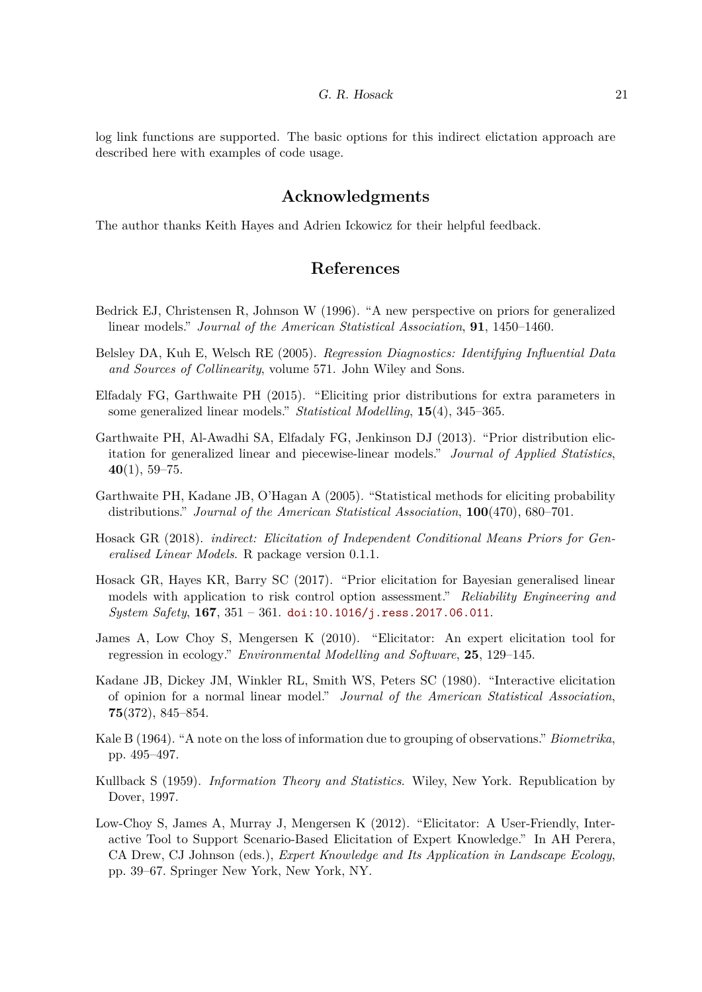log link functions are supported. The basic options for this indirect elictation approach are described here with examples of code usage.

# **Acknowledgments**

The author thanks Keith Hayes and Adrien Ickowicz for their helpful feedback.

# **References**

- <span id="page-20-3"></span>Bedrick EJ, Christensen R, Johnson W (1996). "A new perspective on priors for generalized linear models.<sup>n</sup> *Journal of the American Statistical Association*, **91**, 1450–1460.
- <span id="page-20-9"></span>Belsley DA, Kuh E, Welsch RE (2005). *Regression Diagnostics: Identifying Influential Data and Sources of Collinearity*, volume 571. John Wiley and Sons.
- <span id="page-20-6"></span>Elfadaly FG, Garthwaite PH  $(2015)$ . "Eliciting prior distributions for extra parameters in some generalized linear models.<sup>n</sup> *Statistical Modelling*, **15**(4), 345–365.
- <span id="page-20-5"></span>Garthwaite PH, Al-Awadhi SA, Elfadaly FG, Jenkinson DJ (2013). "Prior distribution elicitation for generalized linear and piecewise-linear models.Ť *Journal of Applied Statistics*,  $40(1), 59-75.$
- <span id="page-20-0"></span>Garthwaite PH, Kadane JB, O'Hagan A (2005). "Statistical methods for eliciting probability distributions.<sup>n</sup> *Journal of the American Statistical Association*, **100**(470), 680–701.
- <span id="page-20-7"></span>Hosack GR (2018). *indirect: Elicitation of Independent Conditional Means Priors for Generalised Linear Models*. R package version 0.1.1.
- <span id="page-20-8"></span>Hosack GR, Hayes KR, Barry SC (2017). "Prior elicitation for Bayesian generalised linear models with application to risk control option assessment.<sup>"</sup> Reliability Engineering and  $System$   $Safety$ ,  $167$ ,  $351 - 361$ . [doi:10.1016/j.ress.2017.06.011](https://doi.org/10.1016/j.ress.2017.06.011).
- <span id="page-20-2"></span>James A, Low Choy S, Mengersen K  $(2010)$ . "Elicitator: An expert elicitation tool for regression in ecology.<sup>*n*</sup> *Environmental Modelling and Software*, **25**, 129–145.
- <span id="page-20-1"></span>Kadane JB, Dickey JM, Winkler RL, Smith WS, Peters SC (1980). "Interactive elicitation of opinion for a normal linear model.Ť *Journal of the American Statistical Association*,  $75(372)$ , 845–854.
- <span id="page-20-11"></span>Kale B (1964). "A note on the loss of information due to grouping of observations." *Biometrika*, pp. 495-497.
- <span id="page-20-10"></span>Kullback S (1959). *Information Theory and Statistics*. Wiley, New York. Republication by Dover, 1997.
- <span id="page-20-4"></span>Low-Choy S, James A, Murray J, Mengersen K (2012). "Elicitator: A User-Friendly, Interactive Tool to Support Scenario-Based Elicitation of Expert Knowledge." In AH Perera, CA Drew, CJ Johnson (eds.), *Expert Knowledge and Its Application in Landscape Ecology*, pp. 39–67. Springer New York, New York, NY.